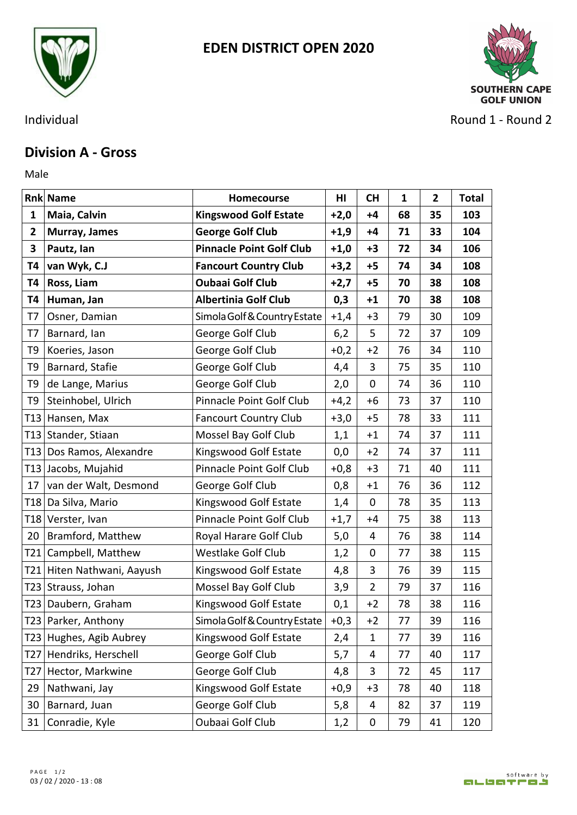



Individual **Round 2** - Round 2

## **Division A - Gross**

Male **Male** 

|              | <b>Rnk Name</b>            | Homecourse                      | HI     | <b>CH</b>      | 1  | $\mathbf{2}$ | <b>Total</b> |
|--------------|----------------------------|---------------------------------|--------|----------------|----|--------------|--------------|
| 1            | Maia, Calvin               | <b>Kingswood Golf Estate</b>    | $+2,0$ | $+4$           | 68 | 35           | 103          |
| $\mathbf{2}$ | Murray, James              | <b>George Golf Club</b>         | $+1,9$ | $+4$           | 71 | 33           | 104          |
| 3            | Pautz, lan                 | <b>Pinnacle Point Golf Club</b> | $+1,0$ | $+3$           | 72 | 34           | 106          |
| T4           | van Wyk, C.J               | <b>Fancourt Country Club</b>    | $+3,2$ | $+5$           | 74 | 34           | 108          |
| T4           | Ross, Liam                 | <b>Oubaai Golf Club</b>         | $+2,7$ | $+5$           | 70 | 38           | 108          |
| Т4           | Human, Jan                 | <b>Albertinia Golf Club</b>     | 0,3    | $+1$           | 70 | 38           | 108          |
| T7           | Osner, Damian              | Simola Golf & Country Estate    | $+1,4$ | $+3$           | 79 | 30           | 109          |
| T7           | Barnard, Ian               | George Golf Club                | 6,2    | 5              | 72 | 37           | 109          |
| T9           | Koeries, Jason             | George Golf Club                | $+0,2$ | $+2$           | 76 | 34           | 110          |
| T9           | Barnard, Stafie            | George Golf Club                | 4,4    | 3              | 75 | 35           | 110          |
| T9           | de Lange, Marius           | George Golf Club                | 2,0    | $\mathbf 0$    | 74 | 36           | 110          |
| T9           | Steinhobel, Ulrich         | Pinnacle Point Golf Club        | $+4,2$ | $+6$           | 73 | 37           | 110          |
|              | T13 Hansen, Max            | <b>Fancourt Country Club</b>    | $+3,0$ | $+5$           | 78 | 33           | 111          |
|              | T13 Stander, Stiaan        | Mossel Bay Golf Club            | 1,1    | $+1$           | 74 | 37           | 111          |
| T13          | Dos Ramos, Alexandre       | Kingswood Golf Estate           | 0,0    | $+2$           | 74 | 37           | 111          |
|              | T13 Jacobs, Mujahid        | Pinnacle Point Golf Club        | $+0,8$ | $+3$           | 71 | 40           | 111          |
| 17           | van der Walt, Desmond      | George Golf Club                | 0,8    | $+1$           | 76 | 36           | 112          |
|              | T18   Da Silva, Mario      | Kingswood Golf Estate           | 1,4    | $\mathbf 0$    | 78 | 35           | 113          |
|              | T18 Verster, Ivan          | Pinnacle Point Golf Club        | $+1,7$ | $+4$           | 75 | 38           | 113          |
| 20           | Bramford, Matthew          | Royal Harare Golf Club          | 5,0    | 4              | 76 | 38           | 114          |
| T21          | Campbell, Matthew          | <b>Westlake Golf Club</b>       | 1,2    | $\mathbf 0$    | 77 | 38           | 115          |
|              | T21 Hiten Nathwani, Aayush | Kingswood Golf Estate           | 4,8    | 3              | 76 | 39           | 115          |
|              | T23 Strauss, Johan         | Mossel Bay Golf Club            | 3,9    | $\overline{2}$ | 79 | 37           | 116          |
|              | T23 Daubern, Graham        | Kingswood Golf Estate           | 0,1    | $+2$           | 78 | 38           | 116          |
|              | T23 Parker, Anthony        | Simola Golf & Country Estate    | $+0,3$ | $+2$           | 77 | 39           | 116          |
|              | T23 Hughes, Agib Aubrey    | Kingswood Golf Estate           | 2,4    | $\mathbf{1}$   | 77 | 39           | 116          |
| T27          | Hendriks, Herschell        | George Golf Club                | 5,7    | 4              | 77 | 40           | 117          |
| T27          | Hector, Markwine           | George Golf Club                | 4,8    | 3              | 72 | 45           | 117          |
| 29           | Nathwani, Jay              | Kingswood Golf Estate           | $+0,9$ | $+3$           | 78 | 40           | 118          |
| 30           | Barnard, Juan              | George Golf Club                | 5,8    | 4              | 82 | 37           | 119          |
| 31           | Conradie, Kyle             | Oubaai Golf Club                | 1,2    | $\mathbf 0$    | 79 | 41           | 120          |